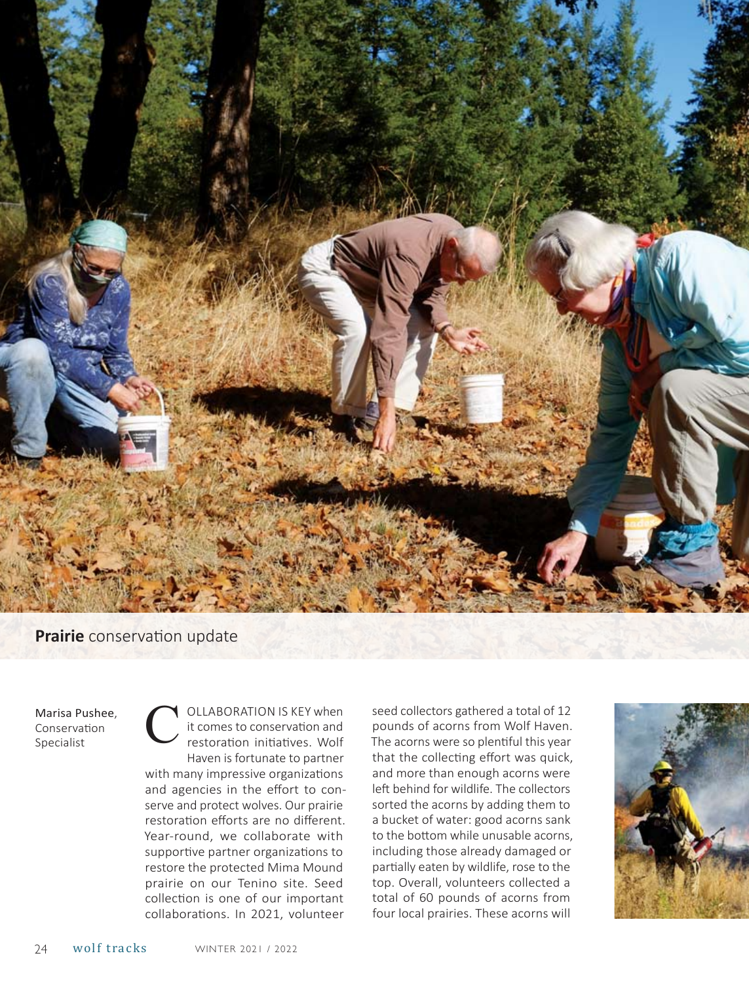

## **Prairie** conservation update

Marisa Pushee. Conservation Specialist

ollaboration is key when it comes to conservation and restoration initiatives. Wolf Haven is fortunate to partner with many impressive organizations and agencies in the effort to conserve and protect wolves. Our prairie restoration efforts are no different. Year-round, we collaborate with supportive partner organizations to restore the protected Mima Mound prairie on our Tenino site. Seed collection is one of our important collaborations. In 2021, volunteer

seed collectors gathered a total of 12 pounds of acorns from Wolf Haven. The acorns were so plentiful this year that the collecting effort was quick, and more than enough acorns were left behind for wildlife. The collectors sorted the acorns by adding them to a bucket of water: good acorns sank to the bottom while unusable acorns, including those already damaged or partially eaten by wildlife, rose to the top. Overall, volunteers collected a total of 60 pounds of acorns from four local prairies. These acorns will